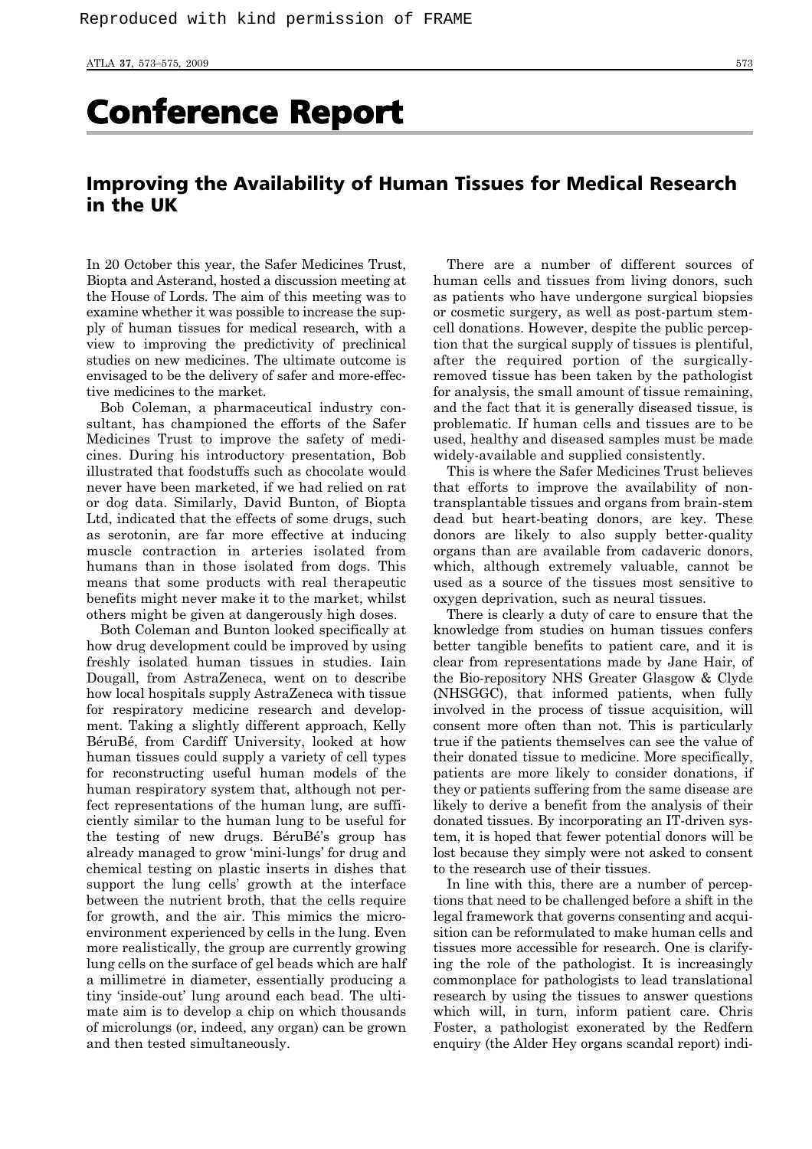## Conference Report

## Improving the Availability of Human Tissues for Medical Research in the UK

In 20 October this year, the Safer Medicines Trust, Biopta and Asterand, hosted a discussion meeting at the House of Lords. The aim of this meeting was to examine whether it was possible to increase the supply of human tissues for medical research, with a view to improving the predictivity of preclinical studies on new medicines. The ultimate outcome is envisaged to be the delivery of safer and more-effective medicines to the market.

Bob Coleman, a pharmaceutical industry consultant, has championed the efforts of the Safer Medicines Trust to improve the safety of medicines. During his introductory presentation, Bob illustrated that foodstuffs such as chocolate would never have been marketed, if we had relied on rat or dog data. Similarly, David Bunton, of Biopta Ltd, indicated that the effects of some drugs, such as serotonin, are far more effective at inducing muscle contraction in arteries isolated from humans than in those isolated from dogs. This means that some products with real therapeutic benefits might never make it to the market, whilst others might be given at dangerously high doses.

Both Coleman and Bunton looked specifically at how drug development could be improved by using freshly isolated human tissues in studies. Iain Dougall, from AstraZeneca, went on to describe how local hospitals supply AstraZeneca with tissue for respiratory medicine research and development. Taking a slightly different approach, Kelly BéruBé, from Cardiff University, looked at how human tissues could supply a variety of cell types for reconstructing useful human models of the human respiratory system that, although not perfect representations of the human lung, are sufficiently similar to the human lung to be useful for the testing of new drugs. BéruBé's group has already managed to grow 'mini-lungs' for drug and chemical testing on plastic inserts in dishes that support the lung cells' growth at the interface between the nutrient broth, that the cells require for growth, and the air. This mimics the microenvironment experienced by cells in the lung. Even more realistically, the group are currently growing lung cells on the surface of gel beads which are half a millimetre in diameter, essentially producing a tiny 'inside-out' lung around each bead. The ultimate aim is to develop a chip on which thousands of microlungs (or, indeed, any organ) can be grown and then tested simultaneously.

There are a number of different sources of human cells and tissues from living donors, such as patients who have undergone surgical biopsies or cosmetic surgery, as well as post-partum stemcell donations. However, despite the public perception that the surgical supply of tissues is plentiful, after the required portion of the surgicallyremoved tissue has been taken by the pathologist for analysis, the small amount of tissue remaining, and the fact that it is generally diseased tissue, is problematic. If human cells and tissues are to be used, healthy and diseased samples must be made widely-available and supplied consistently.

This is where the Safer Medicines Trust believes that efforts to improve the availability of nontransplantable tissues and organs from brain-stem dead but heart-beating donors, are key. These donors are likely to also supply better-quality organs than are available from cadaveric donors, which, although extremely valuable, cannot be used as a source of the tissues most sensitive to oxygen deprivation, such as neural tissues.

There is clearly a duty of care to ensure that the knowledge from studies on human tissues confers better tangible benefits to patient care, and it is clear from representations made by Jane Hair, of the Bio-repository NHS Greater Glasgow & Clyde (NHSGGC), that informed patients, when fully involved in the process of tissue acquisition, will consent more often than not. This is particularly true if the patients themselves can see the value of their donated tissue to medicine. More specifically, patients are more likely to consider donations, if they or patients suffering from the same disease are likely to derive a benefit from the analysis of their donated tissues. By incorporating an IT-driven system, it is hoped that fewer potential donors will be lost because they simply were not asked to consent to the research use of their tissues.

In line with this, there are a number of perceptions that need to be challenged before a shift in the legal framework that governs consenting and acquisition can be reformulated to make human cells and tissues more accessible for research. One is clarifying the role of the pathologist. It is increasingly commonplace for pathologists to lead translational research by using the tissues to answer questions which will, in turn, inform patient care. Chris Foster, a pathologist exonerated by the Redfern enquiry (the Alder Hey organs scandal report) indi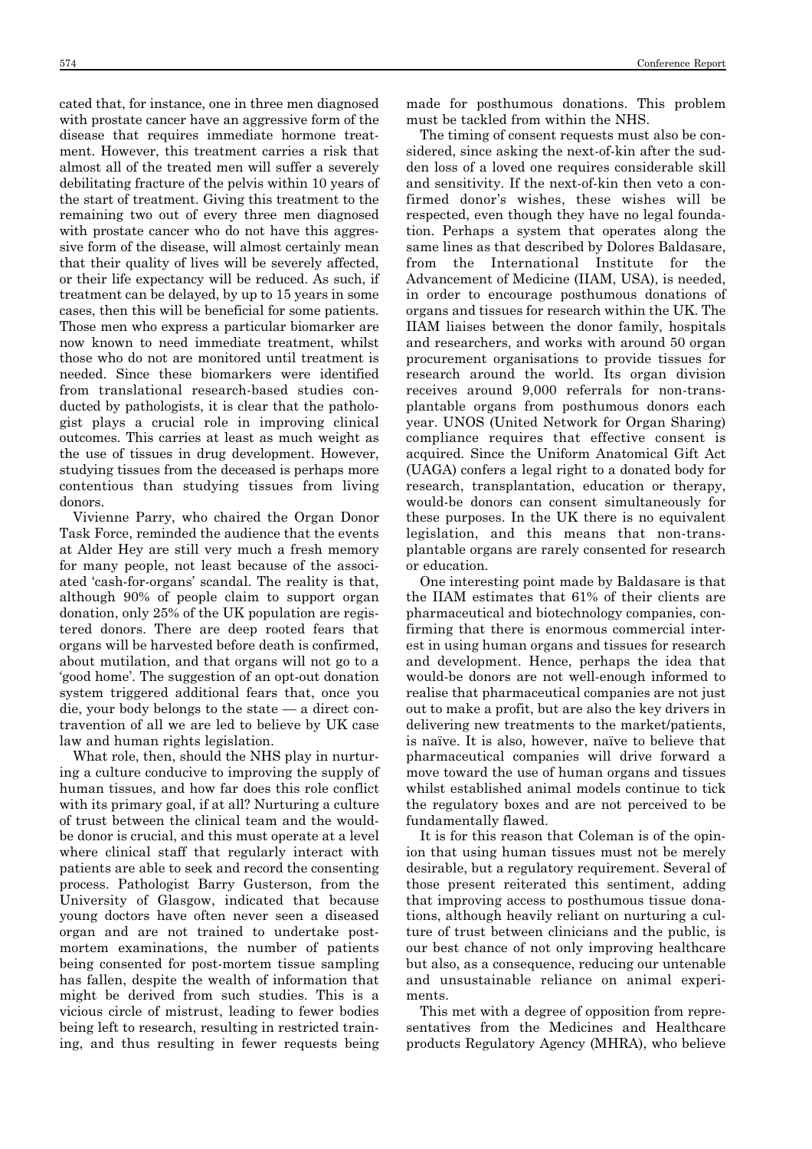cated that, for instance, one in three men diagnosed with prostate cancer have an aggressive form of the disease that requires immediate hormone treatment. However, this treatment carries a risk that almost all of the treated men will suffer a severely debilitating fracture of the pelvis within 10 years of the start of treatment. Giving this treatment to the remaining two out of every three men diagnosed with prostate cancer who do not have this aggressive form of the disease, will almost certainly mean that their quality of lives will be severely affected, or their life expectancy will be reduced. As such, if treatment can be delayed, by up to 15 years in some cases, then this will be beneficial for some patients. Those men who express a particular biomarker are now known to need immediate treatment, whilst those who do not are monitored until treatment is needed. Since these biomarkers were identified from translational research-based studies conducted by pathologists, it is clear that the pathologist plays a crucial role in improving clinical outcomes. This carries at least as much weight as the use of tissues in drug development. However, studying tissues from the deceased is perhaps more contentious than studying tissues from living donors.

Vivienne Parry, who chaired the Organ Donor Task Force, reminded the audience that the events at Alder Hey are still very much a fresh memory for many people, not least because of the associated 'cash-for-organs' scandal. The reality is that, although 90% of people claim to support organ donation, only 25% of the UK population are registered donors. There are deep rooted fears that organs will be harvested before death is confirmed, about mutilation, and that organs will not go to a 'good home'. The suggestion of an opt-out donation system triggered additional fears that, once you die, your body belongs to the state — a direct contravention of all we are led to believe by UK case law and human rights legislation.

What role, then, should the NHS play in nurturing a culture conducive to improving the supply of human tissues, and how far does this role conflict with its primary goal, if at all? Nurturing a culture of trust between the clinical team and the wouldbe donor is crucial, and this must operate at a level where clinical staff that regularly interact with patients are able to seek and record the consenting process. Pathologist Barry Gusterson, from the University of Glasgow, indicated that because young doctors have often never seen a diseased organ and are not trained to undertake postmortem examinations, the number of patients being consented for post-mortem tissue sampling has fallen, despite the wealth of information that might be derived from such studies. This is a vicious circle of mistrust, leading to fewer bodies being left to research, resulting in restricted training, and thus resulting in fewer requests being made for posthumous donations. This problem must be tackled from within the NHS.

The timing of consent requests must also be considered, since asking the next-of-kin after the sudden loss of a loved one requires considerable skill and sensitivity. If the next-of-kin then veto a confirmed donor's wishes, these wishes will be respected, even though they have no legal foundation. Perhaps a system that operates along the same lines as that described by Dolores Baldasare, from the International Institute for the Advancement of Medicine (IIAM, USA), is needed, in order to encourage posthumous donations of organs and tissues for research within the UK. The IIAM liaises between the donor family, hospitals and researchers, and works with around 50 organ procurement organisations to provide tissues for research around the world. Its organ division receives around 9,000 referrals for non-transplantable organs from posthumous donors each year. UNOS (United Network for Organ Sharing) compliance requires that effective consent is acquired. Since the Uniform Anatomical Gift Act (UAGA) confers a legal right to a donated body for research, transplantation, education or therapy, would-be donors can consent simultaneously for these purposes. In the UK there is no equivalent legislation, and this means that non-transplantable organs are rarely consented for research or education.

One interesting point made by Baldasare is that the IIAM estimates that 61% of their clients are pharmaceutical and biotechnology companies, confirming that there is enormous commercial interest in using human organs and tissues for research and development. Hence, perhaps the idea that would-be donors are not well-enough informed to realise that pharmaceutical companies are not just out to make a profit, but are also the key drivers in delivering new treatments to the market/patients, is naïve. It is also, however, naïve to believe that pharmaceutical companies will drive forward a move toward the use of human organs and tissues whilst established animal models continue to tick the regulatory boxes and are not perceived to be fundamentally flawed.

It is for this reason that Coleman is of the opinion that using human tissues must not be merely desirable, but a regulatory requirement. Several of those present reiterated this sentiment, adding that improving access to posthumous tissue donations, although heavily reliant on nurturing a culture of trust between clinicians and the public, is our best chance of not only improving healthcare but also, as a consequence, reducing our untenable and unsustainable reliance on animal experiments.

This met with a degree of opposition from representatives from the Medicines and Healthcare products Regulatory Agency (MHRA), who believe